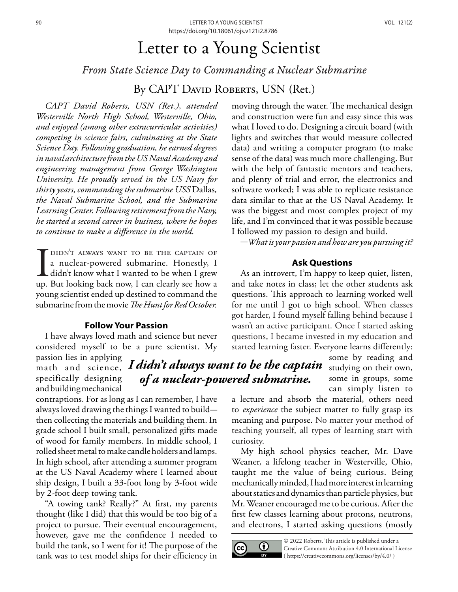# Letter to a Young Scientist

*From State Science Day to Commanding a Nuclear Submarine*

By CAPT DAVID ROBERTS, USN (Ret.)

*CAPT David Roberts, USN (Ret.), attended Westerville North High School, Westerville, Ohio, and enjoyed (among other extracurricular activities) competing in science fairs, culminating at the State Science Day. Following graduation, he earned degrees in naval architecture from the US Naval Academy and engineering management from George Washington University. He proudly served in the US Navy for thirty years, commanding the submarine USS* Dallas*, the Naval Submarine School, and the Submarine Learning Center. Following retirement from the Navy, he started a second career in business, where he hopes to continue to make a difference in the world.* 

DIDN'T ALWAYS WANT TO BE THE CAPTAIN OF<br>a nuclear-powered submarine. Honestly, I<br>didn't know what I wanted to be when I grew<br>up. But looking back now, I can clearly see how a a nuclear-powered submarine. Honestly, I didn't know what I wanted to be when I grew up. But looking back now, I can clearly see how a young scientist ended up destined to command the submarine from the movie *The Hunt for Red October.*

## **Follow Your Passion**

I have always loved math and science but never considered myself to be a pure scientist. My

passion lies in applying specifically designing and building mechanical

contraptions. For as long as I can remember, I have always loved drawing the things I wanted to buildthen collecting the materials and building them. In grade school I built small, personalized gifts made of wood for family members. In middle school, I rolled sheet metal to make candle holders and lamps. In high school, after attending a summer program at the US Naval Academy where I learned about ship design, I built a 33-foot long by 3-foot wide by 2-foot deep towing tank.

"A towing tank? Really?" At first, my parents thought (like I did) that this would be too big of a project to pursue. Their eventual encouragement, however, gave me the confidence I needed to build the tank, so I went for it! The purpose of the tank was to test model ships for their efficiency in moving through the water. The mechanical design and construction were fun and easy since this was what I loved to do. Designing a circuit board (with lights and switches that would measure collected data) and writing a computer program (to make sense of the data) was much more challenging. But with the help of fantastic mentors and teachers, and plenty of trial and error, the electronics and software worked; I was able to replicate resistance data similar to that at the US Naval Academy. It was the biggest and most complex project of my life, and I'm convinced that it was possible because I followed my passion to design and build.

-*What is your passion and how are you pursuing it?* 

# **Ask Questions**

As an introvert, I'm happy to keep quiet, listen, and take notes in class; let the other students ask questions. This approach to learning worked well for me until I got to high school. When classes got harder, I found myself falling behind because I wasn't an active participant. Once I started asking questions, I became invested in my education and started learning faster. Everyone learns differently:

> some by reading and studying on their own, some in groups, some can simply listen to

a lecture and absorb the material, others need to *experience* the subject matter to fully grasp its meaning and purpose. No matter your method of teaching yourself, all types of learning start with curiosity.

My high school physics teacher, Mr. Dave Weaner, a lifelong teacher in Westerville, Ohio, taught me the value of being curious. Being mechanically minded, I had more interest in learning about statics and dynamics than particle physics, but Mr. Weaner encouraged me to be curious. After the first few classes learning about protons, neutrons, and electrons, I started asking questions (mostly



© 2022 Roberts. This article is published under a Creative Commons Attribution 4.0 International License ( [https://creativecommons.org/licenses/by/4.0/ \)](https://creativecommons.org/licenses/by/4.0/)

math and science, *I didn't always want to be the captain of a nuclear-powered submarine.*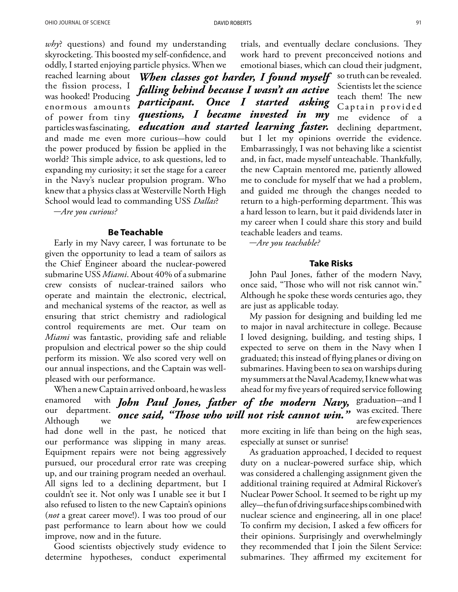*why*? questions) and found my understanding skyrocketing. This boosted my self-confidence, and oddly, I started enjoying particle physics. When we

reached learning about the fission process, I was hooked! Producing enormous amounts of power from tiny particles was fascinating, and made me even more curious*-*how could the power produced by fission be applied in the world? This simple advice, to ask questions, led to expanding my curiosity; it set the stage for a career in the Navy's nuclear propulsion program. Who knew that a physics class at Westerville North High School would lead to commanding USS *Dallas*? *falling behind because I wasn't an active participant. Once I started asking questions, I became invested in my education and started learning faster.* 

-*Are you curious?*

#### **Be Teachable**

Early in my Navy career, I was fortunate to be given the opportunity to lead a team of sailors as the Chief Engineer aboard the nuclear-powered submarine USS *Miami*. About 40% of a submarine crew consists of nuclear-trained sailors who operate and maintain the electronic, electrical, and mechanical systems of the reactor, as well as ensuring that strict chemistry and radiological control requirements are met. Our team on *Miami* was fantastic, providing safe and reliable propulsion and electrical power so the ship could perform its mission. We also scored very well on our annual inspections, and the Captain was wellpleased with our performance.

When a new Captain arrived onboard, he was less enamored our department. Although we had done well in the past, he noticed that our performance was slipping in many areas. Equipment repairs were not being aggressively pursued, our procedural error rate was creeping up, and our training program needed an overhaul. All signs led to a declining department, but I couldn't see it. Not only was I unable see it but I also refused to listen to the new Captain's opinions (*not* a great career move!). I was too proud of our past performance to learn about how we could improve, now and in the future.

Good scientists objectively study evidence to determine hypotheses, conduct experimental trials, and eventually declare conclusions. They work hard to prevent preconceived notions and emotional biases, which can cloud their judgment,

*When classes got harder, I found myself* so truth can be revealed. Scientists let the science teach them! The new Captain provided me evidence of a declining department, but I let my opinions override the evidence. Embarrassingly, I was not behaving like a scientist and, in fact, made myself unteachable. Thankfully, the new Captain mentored me, patiently allowed me to conclude for myself that we had a problem, and guided me through the changes needed to return to a high-performing department. This was a hard lesson to learn, but it paid dividends later in my career when I could share this story and build teachable leaders and teams.

-*Are you teachable?* 

### **Take Risks**

John Paul Jones, father of the modern Navy, once said, "Those who will not risk cannot win." Although he spoke these words centuries ago, they are just as applicable today.

My passion for designing and building led me to major in naval architecture in college. Because I loved designing, building, and testing ships, I expected to serve on them in the Navy when I graduated; this instead of flying planes or diving on submarines. Having been to sea on warships during my summers at the Naval Academy, I knew what was ahead for my five years of required service following John Paul Jones, father of the modern Navy, <sup>graduation–and I</sup> *once said, "Those who will not risk cannot win."* was excited. There are few experiences

> more exciting in life than being on the high seas, especially at sunset or sunrise!

> As graduation approached, I decided to request duty on a nuclear-powered surface ship, which was considered a challenging assignment given the additional training required at Admiral Rickover's Nuclear Power School. It seemed to be right up my alley-the fun of driving surface ships combined with nuclear science and engineering, all in one place! To confirm my decision, I asked a few officers for their opinions. Surprisingly and overwhelmingly they recommended that I join the Silent Service: submarines. They affirmed my excitement for